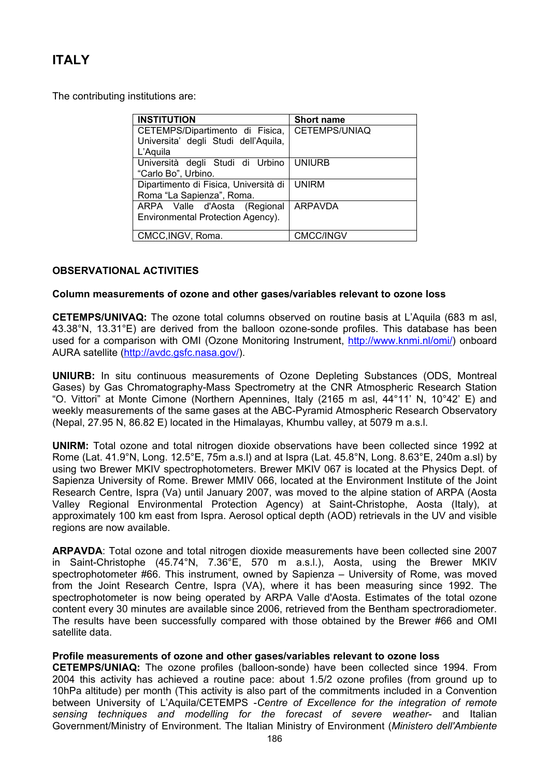# **ITALY**

The contributing institutions are:

| <b>INSTITUTION</b>                    | <b>Short name</b>    |
|---------------------------------------|----------------------|
| CETEMPS/Dipartimento di Fisica,       | <b>CETEMPS/UNIAQ</b> |
| Universita' degli Studi dell'Aquila,  |                      |
| L'Aquila                              |                      |
| Università degli Studi di Urbino      | <b>UNIURB</b>        |
| "Carlo Bo", Urbino.                   |                      |
| Dipartimento di Fisica, Università di | <b>UNIRM</b>         |
| Roma "La Sapienza", Roma.             |                      |
| ARPA Valle d'Aosta (Regional          | <b>ARPAVDA</b>       |
| Environmental Protection Agency).     |                      |
|                                       |                      |
| CMCC, INGV, Roma.                     | <b>CMCC/INGV</b>     |

# **OBSERVATIONAL ACTIVITIES**

# **Column measurements of ozone and other gases/variables relevant to ozone loss**

**CETEMPS/UNIVAQ:** The ozone total columns observed on routine basis at L'Aquila (683 m asl, 43.38°N, 13.31°E) are derived from the balloon ozone-sonde profiles. This database has been used for a comparison with OMI (Ozone Monitoring Instrument, <http://www.knmi.nl/omi/>) onboard AURA satellite [\(http://avdc.gsfc.nasa.gov/](http://avdc.gsfc.nasa.gov/)).

**UNIURB:** In situ continuous measurements of Ozone Depleting Substances (ODS, Montreal Gases) by Gas Chromatography-Mass Spectrometry at the CNR Atmospheric Research Station "O. Vittori" at Monte Cimone (Northern Apennines, Italy (2165 m asl, 44°11' N, 10°42' E) and weekly measurements of the same gases at the ABC-Pyramid Atmospheric Research Observatory (Nepal, 27.95 N, 86.82 E) located in the Himalayas, Khumbu valley, at 5079 m a.s.l.

**UNIRM:** Total ozone and total nitrogen dioxide observations have been collected since 1992 at Rome (Lat. 41.9°N, Long. 12.5°E, 75m a.s.l) and at Ispra (Lat. 45.8°N, Long. 8.63°E, 240m a.sl) by using two Brewer MKIV spectrophotometers. Brewer MKIV 067 is located at the Physics Dept. of Sapienza University of Rome. Brewer MMIV 066, located at the Environment Institute of the Joint Research Centre, Ispra (Va) until January 2007, was moved to the alpine station of ARPA (Aosta Valley Regional Environmental Protection Agency) at Saint-Christophe, Aosta (Italy), at approximately 100 km east from Ispra. Aerosol optical depth (AOD) retrievals in the UV and visible regions are now available.

**ARPAVDA**: Total ozone and total nitrogen dioxide measurements have been collected sine 2007 in Saint-Christophe (45.74°N, 7.36°E, 570 m a.s.l.), Aosta, using the Brewer MKIV spectrophotometer #66. This instrument, owned by Sapienza – University of Rome, was moved from the Joint Research Centre, Ispra (VA), where it has been measuring since 1992. The spectrophotometer is now being operated by ARPA Valle d'Aosta. Estimates of the total ozone content every 30 minutes are available since 2006, retrieved from the Bentham spectroradiometer. The results have been successfully compared with those obtained by the Brewer #66 and OMI satellite data.

# **Profile measurements of ozone and other gases/variables relevant to ozone loss**

**CETEMPS/UNIAQ:** The ozone profiles (balloon-sonde) have been collected since 1994. From 2004 this activity has achieved a routine pace: about 1.5/2 ozone profiles (from ground up to 10hPa altitude) per month (This activity is also part of the commitments included in a Convention between University of L'Aquila/CETEMPS -*Centre of Excellence for the integration of remote sensing techniques and modelling for the forecast of severe weather*- and Italian Government/Ministry of Environment. The Italian Ministry of Environment (*Ministero dell'Ambiente*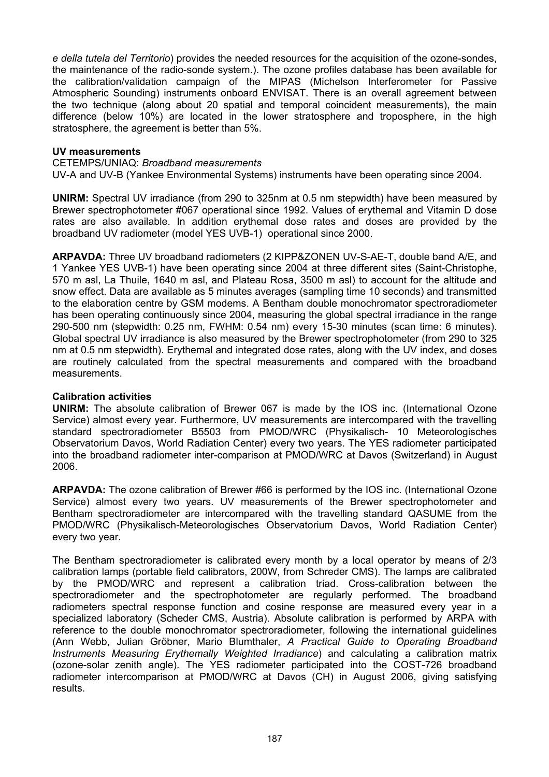*e della tutela del Territorio*) provides the needed resources for the acquisition of the ozone-sondes, the maintenance of the radio-sonde system.). The ozone profiles database has been available for the calibration/validation campaign of the MIPAS (Michelson Interferometer for Passive Atmospheric Sounding) instruments onboard ENVISAT. There is an overall agreement between the two technique (along about 20 spatial and temporal coincident measurements), the main difference (below 10%) are located in the lower stratosphere and troposphere, in the high stratosphere, the agreement is better than 5%.

# **UV measurements**

### CETEMPS/UNIAQ: *Broadband measurements*

UV-A and UV-B (Yankee Environmental Systems) instruments have been operating since 2004.

**UNIRM:** Spectral UV irradiance (from 290 to 325nm at 0.5 nm stepwidth) have been measured by Brewer spectrophotometer #067 operational since 1992. Values of erythemal and Vitamin D dose rates are also available. In addition erythemal dose rates and doses are provided by the broadband UV radiometer (model YES UVB-1) operational since 2000.

**ARPAVDA:** Three UV broadband radiometers (2 KIPP&ZONEN UV-S-AE-T, double band A/E, and 1 Yankee YES UVB-1) have been operating since 2004 at three different sites (Saint-Christophe, 570 m asl, La Thuile, 1640 m asl, and Plateau Rosa, 3500 m asl) to account for the altitude and snow effect. Data are available as 5 minutes averages (sampling time 10 seconds) and transmitted to the elaboration centre by GSM modems. A Bentham double monochromator spectroradiometer has been operating continuously since 2004, measuring the global spectral irradiance in the range 290-500 nm (stepwidth: 0.25 nm, FWHM: 0.54 nm) every 15-30 minutes (scan time: 6 minutes). Global spectral UV irradiance is also measured by the Brewer spectrophotometer (from 290 to 325 nm at 0.5 nm stepwidth). Erythemal and integrated dose rates, along with the UV index, and doses are routinely calculated from the spectral measurements and compared with the broadband measurements.

# **Calibration activities**

**UNIRM:** The absolute calibration of Brewer 067 is made by the IOS inc. (International Ozone Service) almost every year. Furthermore, UV measurements are intercompared with the travelling standard spectroradiometer B5503 from PMOD/WRC (Physikalisch- 10 Meteorologisches Observatorium Davos, World Radiation Center) every two years. The YES radiometer participated into the broadband radiometer inter-comparison at PMOD/WRC at Davos (Switzerland) in August 2006.

**ARPAVDA:** The ozone calibration of Brewer #66 is performed by the IOS inc. (International Ozone Service) almost every two years. UV measurements of the Brewer spectrophotometer and Bentham spectroradiometer are intercompared with the travelling standard QASUME from the PMOD/WRC (Physikalisch-Meteorologisches Observatorium Davos, World Radiation Center) every two year.

The Bentham spectroradiometer is calibrated every month by a local operator by means of 2/3 calibration lamps (portable field calibrators, 200W, from Schreder CMS). The lamps are calibrated by the PMOD/WRC and represent a calibration triad. Cross-calibration between the spectroradiometer and the spectrophotometer are regularly performed. The broadband radiometers spectral response function and cosine response are measured every year in a specialized laboratory (Scheder CMS, Austria). Absolute calibration is performed by ARPA with reference to the double monochromator spectroradiometer, following the international guidelines (Ann Webb, Julian Gröbner, Mario Blumthaler, *A Practical Guide to Operating Broadband Instruments Measuring Erythemally Weighted Irradiance*) and calculating a calibration matrix (ozone-solar zenith angle). The YES radiometer participated into the COST-726 broadband radiometer intercomparison at PMOD/WRC at Davos (CH) in August 2006, giving satisfying results.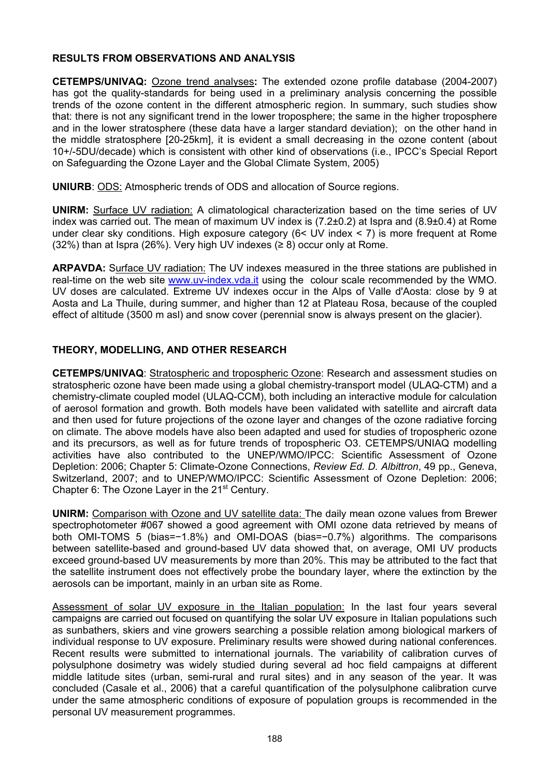# **RESULTS FROM OBSERVATIONS AND ANALYSIS**

**CETEMPS/UNIVAQ:** Ozone trend analyses**:** The extended ozone profile database (2004-2007) has got the quality-standards for being used in a preliminary analysis concerning the possible trends of the ozone content in the different atmospheric region. In summary, such studies show that: there is not any significant trend in the lower troposphere; the same in the higher troposphere and in the lower stratosphere (these data have a larger standard deviation); on the other hand in the middle stratosphere [20-25km], it is evident a small decreasing in the ozone content (about 10+/-5DU/decade) which is consistent with other kind of observations (i.e., IPCC's Special Report on Safeguarding the Ozone Layer and the Global Climate System, 2005)

**UNIURB**: ODS: Atmospheric trends of ODS and allocation of Source regions.

**UNIRM:** Surface UV radiation: A climatological characterization based on the time series of UV index was carried out. The mean of maximum UV index is (7.2±0.2) at Ispra and (8.9±0.4) at Rome under clear sky conditions. High exposure category (6< UV index < 7) is more frequent at Rome (32%) than at Ispra (26%). Very high UV indexes ( $\geq$  8) occur only at Rome.

ARPAVDA: Surface UV radiation: The UV indexes measured in the three stations are published in real-time on the web site [www.uv-index.vda.it](http://www.uv-index.vda.it/) using the colour scale recommended by the WMO. UV doses are calculated. Extreme UV indexes occur in the Alps of Valle d'Aosta: close by 9 at Aosta and La Thuile, during summer, and higher than 12 at Plateau Rosa, because of the coupled effect of altitude (3500 m asl) and snow cover (perennial snow is always present on the glacier).

# **THEORY, MODELLING, AND OTHER RESEARCH**

**CETEMPS/UNIVAQ**: Stratospheric and tropospheric Ozone: Research and assessment studies on stratospheric ozone have been made using a global chemistry-transport model (ULAQ-CTM) and a chemistry-climate coupled model (ULAQ-CCM), both including an interactive module for calculation of aerosol formation and growth. Both models have been validated with satellite and aircraft data and then used for future projections of the ozone layer and changes of the ozone radiative forcing on climate. The above models have also been adapted and used for studies of tropospheric ozone and its precursors, as well as for future trends of tropospheric O3. CETEMPS/UNIAQ modelling activities have also contributed to the UNEP/WMO/IPCC: Scientific Assessment of Ozone Depletion: 2006; Chapter 5: Climate-Ozone Connections, *Review Ed. D. Albittron*, 49 pp., Geneva, Switzerland, 2007; and to UNEP/WMO/IPCC: Scientific Assessment of Ozone Depletion: 2006; Chapter 6: The Ozone Laver in the 21<sup>st</sup> Century.

**UNIRM:** Comparison with Ozone and UV satellite data: The daily mean ozone values from Brewer spectrophotometer #067 showed a good agreement with OMI ozone data retrieved by means of both OMI-TOMS 5 (bias=−1.8%) and OMI-DOAS (bias=−0.7%) algorithms. The comparisons between satellite-based and ground-based UV data showed that, on average, OMI UV products exceed ground-based UV measurements by more than 20%. This may be attributed to the fact that the satellite instrument does not effectively probe the boundary layer, where the extinction by the aerosols can be important, mainly in an urban site as Rome.

Assessment of solar UV exposure in the Italian population: In the last four years several campaigns are carried out focused on quantifying the solar UV exposure in Italian populations such as sunbathers, skiers and vine growers searching a possible relation among biological markers of individual response to UV exposure. Preliminary results were showed during national conferences. Recent results were submitted to international journals. The variability of calibration curves of polysulphone dosimetry was widely studied during several ad hoc field campaigns at different middle latitude sites (urban, semi-rural and rural sites) and in any season of the year. It was concluded (Casale et al., 2006) that a careful quantification of the polysulphone calibration curve under the same atmospheric conditions of exposure of population groups is recommended in the personal UV measurement programmes.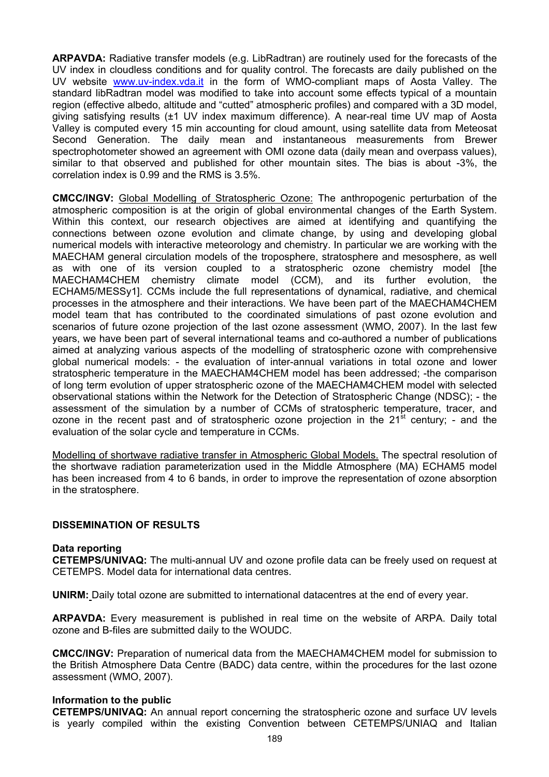**ARPAVDA:** Radiative transfer models (e.g. LibRadtran) are routinely used for the forecasts of the UV index in cloudless conditions and for quality control. The forecasts are daily published on the UV website [www.uv-index.vda.it](http://www.uv-index.vda.it/) in the form of WMO-compliant maps of Aosta Valley. The standard libRadtran model was modified to take into account some effects typical of a mountain region (effective albedo, altitude and "cutted" atmospheric profiles) and compared with a 3D model, giving satisfying results (±1 UV index maximum difference). A near-real time UV map of Aosta Valley is computed every 15 min accounting for cloud amount, using satellite data from Meteosat Second Generation. The daily mean and instantaneous measurements from Brewer spectrophotometer showed an agreement with OMI ozone data (daily mean and overpass values), similar to that observed and published for other mountain sites. The bias is about -3%, the correlation index is 0.99 and the RMS is 3.5%.

**CMCC/INGV:** Global Modelling of Stratospheric Ozone: The anthropogenic perturbation of the atmospheric composition is at the origin of global environmental changes of the Earth System. Within this context, our research objectives are aimed at identifying and quantifying the connections between ozone evolution and climate change, by using and developing global numerical models with interactive meteorology and chemistry. In particular we are working with the MAECHAM general circulation models of the troposphere, stratosphere and mesosphere, as well as with one of its version coupled to a stratospheric ozone chemistry model [the MAECHAM4CHEM chemistry climate model (CCM), and its further evolution, the ECHAM5/MESSy1]. CCMs include the full representations of dynamical, radiative, and chemical processes in the atmosphere and their interactions. We have been part of the MAECHAM4CHEM model team that has contributed to the coordinated simulations of past ozone evolution and scenarios of future ozone projection of the last ozone assessment (WMO, 2007). In the last few years, we have been part of several international teams and co-authored a number of publications aimed at analyzing various aspects of the modelling of stratospheric ozone with comprehensive global numerical models: - the evaluation of inter-annual variations in total ozone and lower stratospheric temperature in the MAECHAM4CHEM model has been addressed; -the comparison of long term evolution of upper stratospheric ozone of the MAECHAM4CHEM model with selected observational stations within the Network for the Detection of Stratospheric Change (NDSC); - the assessment of the simulation by a number of CCMs of stratospheric temperature, tracer, and ozone in the recent past and of stratospheric ozone projection in the  $21^{st}$  century; - and the evaluation of the solar cycle and temperature in CCMs.

Modelling of shortwave radiative transfer in Atmospheric Global Models. The spectral resolution of the shortwave radiation parameterization used in the Middle Atmosphere (MA) ECHAM5 model has been increased from 4 to 6 bands, in order to improve the representation of ozone absorption in the stratosphere.

# **DISSEMINATION OF RESULTS**

# **Data reporting**

**CETEMPS/UNIVAQ:** The multi-annual UV and ozone profile data can be freely used on request at CETEMPS. Model data for international data centres.

**UNIRM:** Daily total ozone are submitted to international datacentres at the end of every year.

**ARPAVDA:** Every measurement is published in real time on the website of ARPA. Daily total ozone and B-files are submitted daily to the WOUDC.

**CMCC/INGV:** Preparation of numerical data from the MAECHAM4CHEM model for submission to the British Atmosphere Data Centre (BADC) data centre, within the procedures for the last ozone assessment (WMO, 2007).

# **Information to the public**

**CETEMPS/UNIVAQ:** An annual report concerning the stratospheric ozone and surface UV levels is yearly compiled within the existing Convention between CETEMPS/UNIAQ and Italian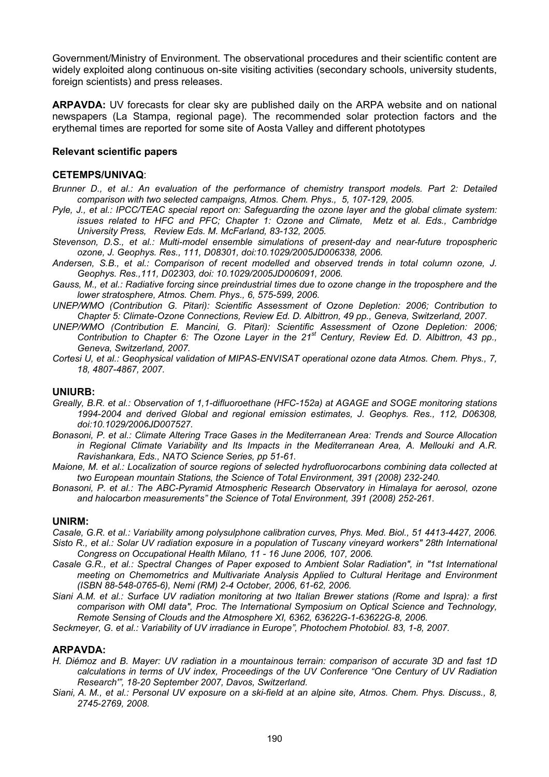Government/Ministry of Environment. The observational procedures and their scientific content are widely exploited along continuous on-site visiting activities (secondary schools, university students, foreign scientists) and press releases.

**ARPAVDA:** UV forecasts for clear sky are published daily on the ARPA website and on national newspapers (La Stampa, regional page). The recommended solar protection factors and the erythemal times are reported for some site of Aosta Valley and different phototypes

# **Relevant scientific papers**

# **CETEMPS/UNIVAQ**:

- *Brunner D., et al.: An evaluation of the performance of chemistry transport models. Part 2: Detailed comparison with two selected campaigns, Atmos. Chem. Phys., 5, 107-129, 2005.*
- *Pyle, J., et al.: IPCC/TEAC special report on: Safeguarding the ozone layer and the global climate system: issues related to HFC and PFC; Chapter 1: Ozone and Climate, Metz et al. Eds., Cambridge University Press, Review Eds. M. McFarland, 83-132, 2005.*
- *Stevenson, D.S., et al.: Multi-model ensemble simulations of present-day and near-future tropospheric ozone, J. Geophys. Res., 111, D08301, doi:10.1029/2005JD006338, 2006.*
- *Andersen, S.B., et al.: Comparison of recent modelled and observed trends in total column ozone, J. Geophys. Res.,111, D02303, doi: 10.1029/2005JD006091, 2006.*
- *Gauss, M., et al.: Radiative forcing since preindustrial times due to ozone change in the troposphere and the lower stratosphere, Atmos. Chem. Phys., 6, 575-599, 2006.*
- *UNEP/WMO (Contribution G. Pitari): Scientific Assessment of Ozone Depletion: 2006; Contribution to Chapter 5: Climate-Ozone Connections, Review Ed. D. Albittron, 49 pp., Geneva, Switzerland, 2007.*
- *UNEP/WMO (Contribution E. Mancini, G. Pitari): Scientific Assessment of Ozone Depletion: 2006; Contribution to Chapter 6: The Ozone Layer in the 21st Century, Review Ed. D. Albittron, 43 pp., Geneva, Switzerland, 2007.*
- *Cortesi U, et al.: Geophysical validation of MIPAS-ENVISAT operational ozone data Atmos. Chem. Phys., 7, 18, 4807-4867, 2007.*

#### **UNIURB:**

- *Greally, B.R. et al.: Observation of 1,1-difluoroethane (HFC-152a) at AGAGE and SOGE monitoring stations 1994-2004 and derived Global and regional emission estimates, J. Geophys. Res., 112, D06308, doi:10.1029/2006JD007527.*
- *Bonasoni, P. et al.: Climate Altering Trace Gases in the Mediterranean Area: Trends and Source Allocation in Regional Climate Variability and Its Impacts in the Mediterranean Area, A. Mellouki and A.R. Ravishankara, Eds., NATO Science Series, pp 51-61.*
- *Maione, M. et al.: Localization of source regions of selected hydrofluorocarbons combining data collected at two European mountain Stations, the Science of Total Environment, 391 (2008) 232-240.*
- *Bonasoni, P. et al.: The ABC-Pyramid Atmospheric Research Observatory in Himalaya for aerosol, ozone and halocarbon measurements" the Science of Total Environment, 391 (2008) 252-261.*

#### **UNIRM:**

- *Casale, G.R. et al.: Variability among polysulphone calibration curves, Phys. Med. Biol., 51 4413-4427, 2006. Sisto R., et al.: Solar UV radiation exposure in a population of Tuscany vineyard workers" 28th International Congress on Occupational Health Milano, 11 - 16 June 2006, 107, 2006.*
- *Casale G.R., et al.: Spectral Changes of Paper exposed to Ambient Solar Radiation", in "1st International meeting on Chemometrics and Multivariate Analysis Applied to Cultural Heritage and Environment (ISBN 88-548-0765-6), Nemi (RM) 2-4 October, 2006, 61-62, 2006.*
- *Siani A.M. et al.: Surface UV radiation monitoring at two Italian Brewer stations (Rome and Ispra): a first comparison with OMI data", Proc. The International Symposium on Optical Science and Technology, Remote Sensing of Clouds and the Atmosphere XI, 6362, 63622G-1-63622G-8, 2006.*
- *Seckmeyer, G. et al.: Variability of UV irradiance in Europe", Photochem Photobiol. 83, 1-8, 2007.*

#### **ARPAVDA:**

- *H. Diémoz and B. Mayer: UV radiation in a mountainous terrain: comparison of accurate 3D and fast 1D calculations in terms of UV index, Proceedings of the UV Conference "One Century of UV Radiation Research'", 18-20 September 2007, Davos, Switzerland.*
- *Siani, A. M., et al.: Personal UV exposure on a ski-field at an alpine site, Atmos. Chem. Phys. Discuss., 8, 2745-2769, 2008.*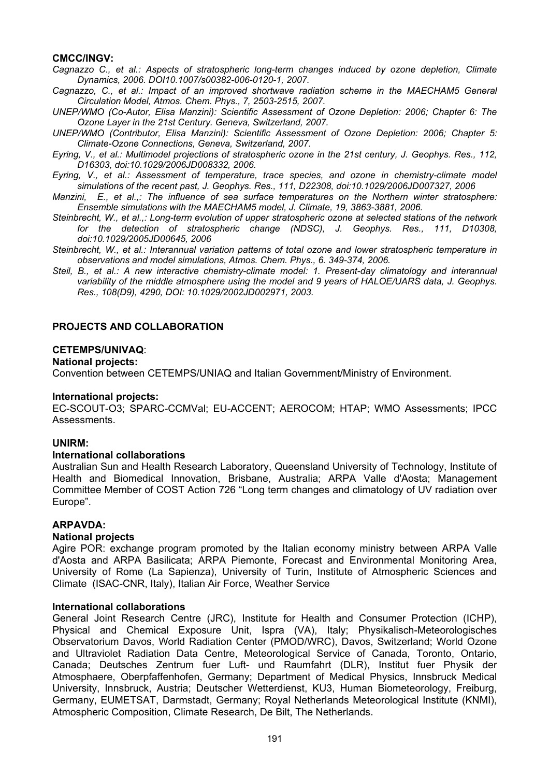# **CMCC/INGV:**

*Cagnazzo C., et al.: Aspects of stratospheric long-term changes induced by ozone depletion, Climate Dynamics, 2006. DOI10.1007/s00382-006-0120-1, 2007.* 

- *Cagnazzo, C., et al.: Impact of an improved shortwave radiation scheme in the MAECHAM5 General Circulation Model, Atmos. Chem. Phys., 7, 2503-2515, 2007.*
- *UNEP/WMO (Co-Autor, Elisa Manzini): Scientific Assessment of Ozone Depletion: 2006; Chapter 6: The Ozone Layer in the 21st Century. Geneva, Switzerland, 2007.*
- *UNEP/WMO (Contributor, Elisa Manzini): Scientific Assessment of Ozone Depletion: 2006; Chapter 5: Climate-Ozone Connections, Geneva, Switzerland, 2007.*
- *Eyring, V., et al.: Multimodel projections of stratospheric ozone in the 21st century, J. Geophys. Res., 112, D16303, doi:10.1029/2006JD008332, 2006.*
- *Eyring, V., et al.: Assessment of temperature, trace species, and ozone in chemistry-climate model simulations of the recent past, J. Geophys. Res., 111, D22308, doi:10.1029/2006JD007327, 2006*
- *Manzini, E., et al.,: The influence of sea surface temperatures on the Northern winter stratosphere: Ensemble simulations with the MAECHAM5 model, J. Climate, 19, 3863-3881, 2006.*
- *Steinbrecht, W., et al.,: Long-term evolution of upper stratospheric ozone at selected stations of the network for the detection of stratospheric change (NDSC), J. Geophys. Res., 111, D10308, doi:10.1029/2005JD00645, 2006*
- *Steinbrecht, W., et al.: Interannual variation patterns of total ozone and lower stratospheric temperature in observations and model simulations, Atmos. Chem. Phys., 6. 349-374, 2006.*
- *Steil, B., et al.: A new interactive chemistry-climate model: 1. Present-day climatology and interannual variability of the middle atmosphere using the model and 9 years of HALOE/UARS data, J. Geophys. Res., 108(D9), 4290, DOI: 10.1029/2002JD002971, 2003.*

# **PROJECTS AND COLLABORATION**

### **CETEMPS/UNIVAQ**:

#### **National projects:**

Convention between CETEMPS/UNIAQ and Italian Government/Ministry of Environment.

#### **International projects:**

EC-SCOUT-O3; SPARC-CCMVal; EU-ACCENT; AEROCOM; HTAP; WMO Assessments; IPCC Assessments.

# **UNIRM:**

#### **International collaborations**

Australian Sun and Health Research Laboratory, Queensland University of Technology, Institute of Health and Biomedical Innovation, Brisbane, Australia; ARPA Valle d'Aosta; Management Committee Member of COST Action 726 "Long term changes and climatology of UV radiation over Europe".

# **ARPAVDA:**

#### **National projects**

Agire POR: exchange program promoted by the Italian economy ministry between ARPA Valle d'Aosta and ARPA Basilicata; ARPA Piemonte, Forecast and Environmental Monitoring Area, University of Rome (La Sapienza), University of Turin, Institute of Atmospheric Sciences and Climate (ISAC-CNR, Italy), Italian Air Force, Weather Service

### **International collaborations**

General Joint Research Centre (JRC), Institute for Health and Consumer Protection (ICHP), Physical and Chemical Exposure Unit, Ispra (VA), Italy; Physikalisch-Meteorologisches Observatorium Davos, World Radiation Center (PMOD/WRC), Davos, Switzerland; World Ozone and Ultraviolet Radiation Data Centre, Meteorological Service of Canada, Toronto, Ontario, Canada; Deutsches Zentrum fuer Luft- und Raumfahrt (DLR), Institut fuer Physik der Atmosphaere, Oberpfaffenhofen, Germany; Department of Medical Physics, Innsbruck Medical University, Innsbruck, Austria; Deutscher Wetterdienst, KU3, Human Biometeorology, Freiburg, Germany, EUMETSAT, Darmstadt, Germany; Royal Netherlands Meteorological Institute (KNMI), Atmospheric Composition, Climate Research, De Bilt, The Netherlands.